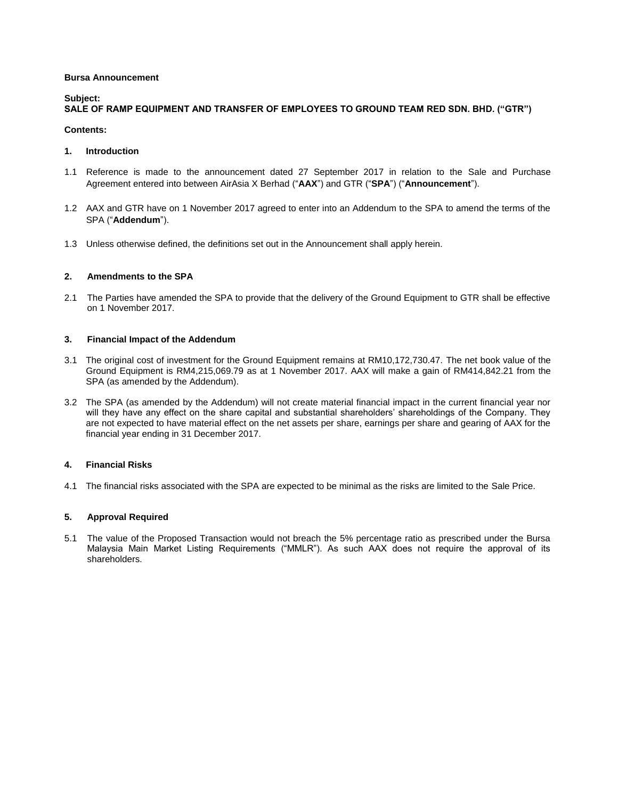### **Bursa Announcement**

# **Subject:**

# **SALE OF RAMP EQUIPMENT AND TRANSFER OF EMPLOYEES TO GROUND TEAM RED SDN. BHD. ("GTR")**

#### **Contents:**

#### **1. Introduction**

- 1.1 Reference is made to the announcement dated 27 September 2017 in relation to the Sale and Purchase Agreement entered into between AirAsia X Berhad ("**AAX**") and GTR ("**SPA**") ("**Announcement**").
- 1.2 AAX and GTR have on 1 November 2017 agreed to enter into an Addendum to the SPA to amend the terms of the SPA ("**Addendum**").
- 1.3 Unless otherwise defined, the definitions set out in the Announcement shall apply herein.

## **2. Amendments to the SPA**

2.1 The Parties have amended the SPA to provide that the delivery of the Ground Equipment to GTR shall be effective on 1 November 2017.

# **3. Financial Impact of the Addendum**

- 3.1 The original cost of investment for the Ground Equipment remains at RM10,172,730.47. The net book value of the Ground Equipment is RM4,215,069.79 as at 1 November 2017. AAX will make a gain of RM414,842.21 from the SPA (as amended by the Addendum).
- 3.2 The SPA (as amended by the Addendum) will not create material financial impact in the current financial year nor will they have any effect on the share capital and substantial shareholders' shareholdings of the Company. They are not expected to have material effect on the net assets per share, earnings per share and gearing of AAX for the financial year ending in 31 December 2017.

## **4. Financial Risks**

4.1 The financial risks associated with the SPA are expected to be minimal as the risks are limited to the Sale Price.

## **5. Approval Required**

5.1 The value of the Proposed Transaction would not breach the 5% percentage ratio as prescribed under the Bursa Malaysia Main Market Listing Requirements ("MMLR"). As such AAX does not require the approval of its shareholders.